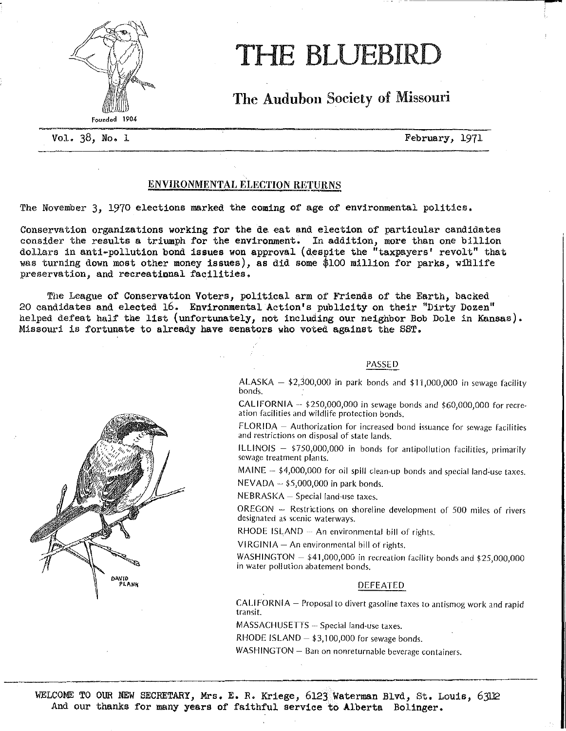

# THE BLUEBIRD

The Audubon Society of Missouri

Vol. 38, No. 1 February, 1971

# ENVIRONMENTAL ELECTION RETURNS

The November 3, 1970 elections marked the coming of age of environmental politics.

Conservation organizations working for the de. eat and election of particular candidates consider the results a triumph for the environment. In addition, more than one billion dollars in anti-pollution bond issues won approval (despite the "taxpayers' revolt" that was turning down most other money issues), as did some \$100 million for parks, widlife preservation, and recreational facilities,

The League of Conservation Voters, political arm of Friends of the Earth, backed 20 candidates and elected 16. Environmental Action's publicity on their "Dirty Dozen" helped defeat half the list (unfortunately, not including our neighbor Bob Dole in Kansas). Missouri is fortunate to already have senators who voted against the SST.

# PASSED

ALASKA  $-$  \$2,300,000 in park bonds and \$11,000,000 in sewage facility bonds.

CALIFORNIA  $-$  \$250,000,000 in sewage bonds and \$60,000,000 for recreation facilities and wildlife protection bonds.

FLORIDA - Authorization for increased bond issuance for sewage facilities and restrictions on disposal of state lands.

ILLINOIS - \$750,000,000 in bonds for antipollution facilities, primarily sewage treatment plants.

MAINE  $-$  \$4,000,000 for oil spill clean-up bonds and special land-use taxes.  $NEVADA - $5,000,000$  in park bonds.

NEBRASKA- Special land-use taxes.

OREGON - Restrictions on shoreline development of 500 miles of rivers designated as scenic waterways.

RHODE ISLAND  $-$  An environmental bill of rights.

 $VIRGINIA - An environmental bill of rights.$ 

WASHINGTON  $-$  \$41,000,000 in recreation facility bonds and \$25,000,000 in water pollution abatement bonds.

# DEFEATED

CALIFORNIA- Proposal to divert gasoline taxes to antismog work and rapid transit.

MASSACHUSETTS - Special land-use taxes.

RHODE ISLAND  $-$  \$3,100,000 for sewage bonds.

WASHINGTON - Ban on nonreturnable beverage containers.

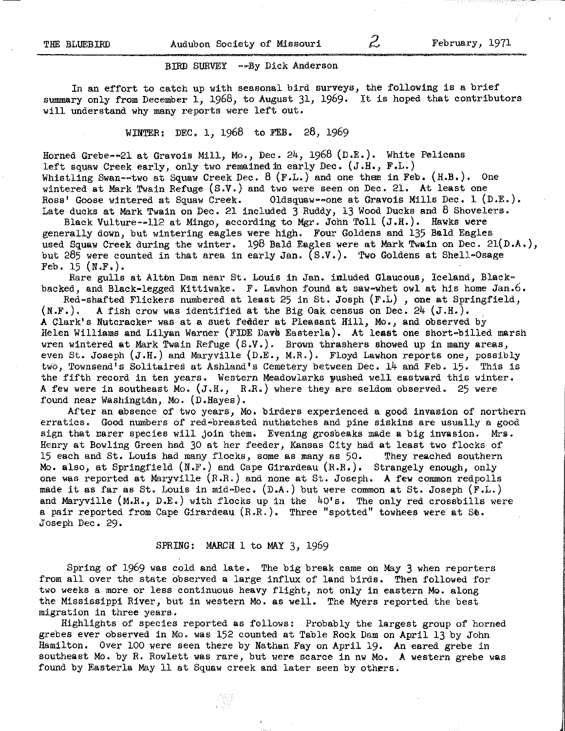### BIRD SURVEY --By Dick Anderson

In an effort to catch up with seasonal bird surveys, the following is a brief summary only from December 1, 1968, to August 31, 1969. It is hoped that contributors will understand why many reports were left out.

WINTER: DEC. 1, 1968 to FEB, 28, 1969

Horned Grebe--21 at Gravois Mill, Mo., Dec.  $24$ , 1968 (D.E.). White Pelicans left squaw Creek early, only two remained in early Dec. (J.H., F.L.) Whistling Swan--two at Squaw Creek Dec. 8 (F.L.) and one thee in Feb. (H.B.). One wintered at Mark Twain Refuge  $(S.V.)$  and two were seen on Dec. 21. At least one Ross' Goose wintered at Squaw Creek. 01dsquaw==one at Gravois Mills Dec. 1 (I Oldsquaw--one at Gravois Mills Dec. 1  $(D.E.)$ . Late ducks at Mark Twain on Dec. 21 included 3 Ruddy, 13 Wood Ducks and 8 Shovelers.

Black Vulture--112 at Mingo, according to Mgr. John Toll  $(J.H.)$ . Hawks were generally down, but wintering eagles were high. Four Goldens and 135 Bald Eagles used Squaw Creek during the winter, 198 Bald Eagles were at Mark Twain on Dec. 2l(D.A.), but 285 were counted in that area in early Jan.  $(S.V.)$ . Two Goldens at Shell-Osage Feb. 15  $(N.F.)$ .

Rare gulls at Alton Dam near St. Louis in Jan. inluded Glaucous, Iceland, Blackbacked, and Black-legged Kittiwake. F. Lawhon found at saw-whet owl at his home Jan.6.

Red-shafted Flickers numbered at least 25 in St. Josph  $(F.L)$ , one at Springfield,  $(N.F.)$ . A fish crow was identified at the Big Oak census on Dec. 24 (J.H.). A fish crow was identified at the Big Oak census on Dec.  $24$  (J.H.). A Clark's Nutcracker was at a suet feeder at Pleasant Hill, Mo., and observed by Helen Williams and Lilyan Warner (FIDE Dave Easterla). At least one short-billed marsh wren wintered at Mark Twain Refuge (S.V.). Brown thrashers showed up in many areas, even St. Joseph (J.H.) and Maryville (D.E., M.R.). Floyd Lawhon reports one, possibly two, Townsend's Solitaires at Ashland's Cemetery between Dec. 14 and Feb. 15. This is the fifth record in ten years. Western Meadowlarks pushed well eastward this winter. A few were in southeast Mo.  $(J.H., R.R.)$  where they are seldom observed. 25 were found near Washington, Mo. (D.Hayes).

After an absence of two years, Mo. birders experienced a good invasion of northern erratics. Good numbers of red-breasted nuthatches and pine siskins are usually a good sign that rarer species will join them. Evening grosbeaks made a big invasion. Mrs. Henry at Bowling Green had 30 at her feeder, Kansas City had at least two flocks of 15 each and St. Louis had many flocks, some as many as 50. They reached southern Mo. also, at Springfield (N.F.) and Cape Girardeau (R.R.). Strangely enough, only one was reported at Maryville (R.R.) and none at St. Joseph. A few common redpolls made it as far as St. Louis in mid-Dec. (D.A.) but were common at St. Joseph (F.L.) and Maryville  $(M.R., D.E.)$  with flocks up in the  $40's.$  The only red crossbills were a pair reported from Cape Girardeau (R.R.). Three "spotted" towhees were at Se. Joseph Dec. 29.

# SPRING: MARCH 1 to MAY 3, 1969

Spring of 1969 was cold and late. The big break came on May 3 when reporters from all over the state observed a large influx of land birds. Then followed for two weeks a more or less continuous heavy flight, not only in eastern Mo. along the Mississippi River, but in western Mo. as well. The Myers reported the best migration in three years.

Highlights of species reported as follows: Probably the largest group of horned grebes ever observed in Mo. was 152 counted at Table Rock Dam on April 13 by John Hamilton. Over 100 were seen there by Nathan Fay on April 19. An eared grebe in southeast Mo. by R. Rowlett was rare, but were scarce in nw Mo. A western grebe was found by Easterla May 11 at Squaw creek and later seen by others.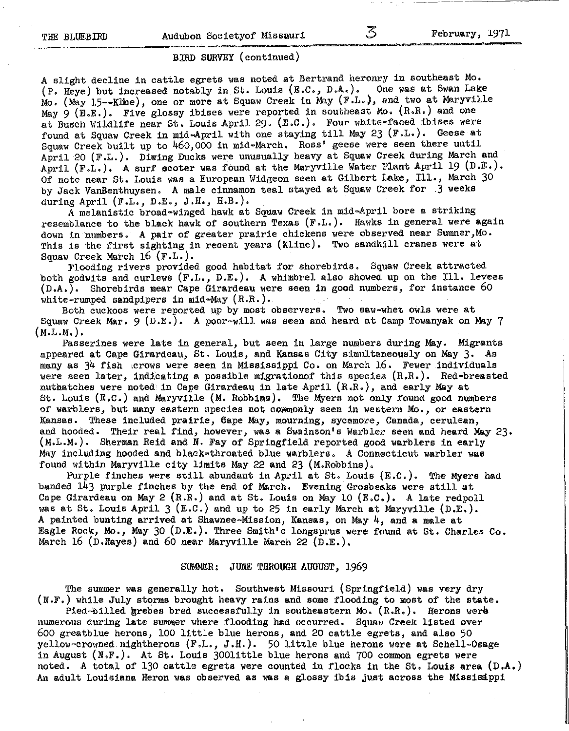### BIRD SURVEY (continued)

A slight decline in cattle egrets was noted at Bertrand heronry in southeast Mo. (P. Heye) but increased notably in St. Louis (E.C., D.A.). One was at Swan Lake Mo. (May 15--Kline), one or more at Squaw Creek in May (F.L.), and two at Maryville May  $9$  (E.E.). Five glossy ibises were reported in southeast Mo. (R.R.) and one at Busch Wildlife near St. Louis April 29. (E.C.). Four white-faced ibises were found at Squaw Creek in mid-April with one staying till May 23 (F.L.). Geese at Squaw Creek built up to 460,000 in mid-March. Ross' geese were seen there until April 20 (F.L.). Diwing Ducks were unusually heavy at Squaw Creek during March and April (F.L.), A surf scoter was found at the Maryville Water Plant April 19 (D.E,), Of note near St. Louis was a European Widgeon seen at Gilbert Lake, Ill., March 30 by Jack VanBenthuysen. A male cinnamon teal stayed at Squaw Creek for .3 weeks during April (F.L., D.E., J.H., H.B.),

<sup>A</sup>melanistic broad-winged hawk at Squaw Creek in mid-April bore a striking resemblance to the black hawk of southern Texas (F.L.). Hawks in general were again down in numbers. A pair of greater prairie chickens were observed near Sumner, Mo. This is the first sighting in recent years (Kline). Two sandhill cranes were at

Squaw Creek March 16 (F.L.). Flooding rivers provided good habitat for shorebirds. Squaw Creek attracted both godwits and curlews (F.L., D.E.). A whimbrel also showed up on the Ill. levees (D.A.). Shorebirds near Cape Girardeau were seen in good numbers, for instance 60 white-rumped sandpipers in mid-May  $(R.R.)$ .

Both cuckoos were reported up by most observers. Two saw-whet owls were at Squaw Creek Mar. 9  $(D.E.)$ . A poor-will was seen and heard at Camp Towanyak on May 7 (M.L.M.),

Passerines were late in general, but seen in large numbers during May. Migrants appeared at Cape Girardeau, St. Louis, and Kansas City simultaneously on May 3. As many as 34 fish ,crows were seen in Mississippi Co. on March 16. Fewer individuals were seen later, indicating a possible migrationof this species (R.R.). Red-breasted nuthatches were noted in Cape Girardeau in late April (R.R.), and early May at St. Louis (E,C.) and Maryville (M. Robbims). The Myers not only found good numbers of warblers, but many eastern species not commonly seen in western Mo., or eastern Kansas. These included prairie, &ape May, mourning, sycamore, Canada, cerulean, and hooded. Their real find, however, was a Swainson's Warbler seen and heard May 23. (M.L.M.). Sherman Reid and N. Fay of Springfield reported good warblers in early May including hooded and black-throated blue warblers. A Connecticut warbler was found within Maryville city limits May 22 and 23 (M.Robbins).

Purple finches were still abundant in April at St. Louis (E.c.). The Myers had banded 143 purple finches by the end of March. Evening Grosbeaks were still at Cape Girardeau on May 2  $(R.R.)$  and at St. Louis on May 10  $(E.C.).$  A late redpoll was at St. Louis April 3 (E.C.) and up to 25 in early March at Maryville (D.E,). A painted bunting arrived at Shawnee-Mission, Kansas, on May 4, and a male at Eagle Rock, Mo., May 30 (D.E.). Three Smith's longsprus were found at St. Charles Co. March 16 (D.Hayes) and 60 near Maryville March 22 (D.E.).

### SUMMER: JUNE THROUGH AUGUST, 1969

The summer was generally hot. Southwest Missouri (Springfield) was very dry (N.F.) while July storms brought heavy rains and some flooding to most of the state.

Pied-billed grebes bred successfully in southeastern Mo.  $(R,R)$ . Herons were numerous during late summer where flooding had occurred. Squaw Creek listed over 600 greatblue herons, 100 little blue herons, and 20 cattle. egrets, and also 50 yellow-crowned. nightherons (F .L., J .H.). 50 little blue herons were at Schell-Osage in August (N.F.). At St. Louis 300little blue herons and 700 common egrets were noted. A total of 130 cattle egrets were counted in flocks in the St. Louis area (D.A.) An adult Louisiana Heron was observed as was a glossy ibis just across the Missisippi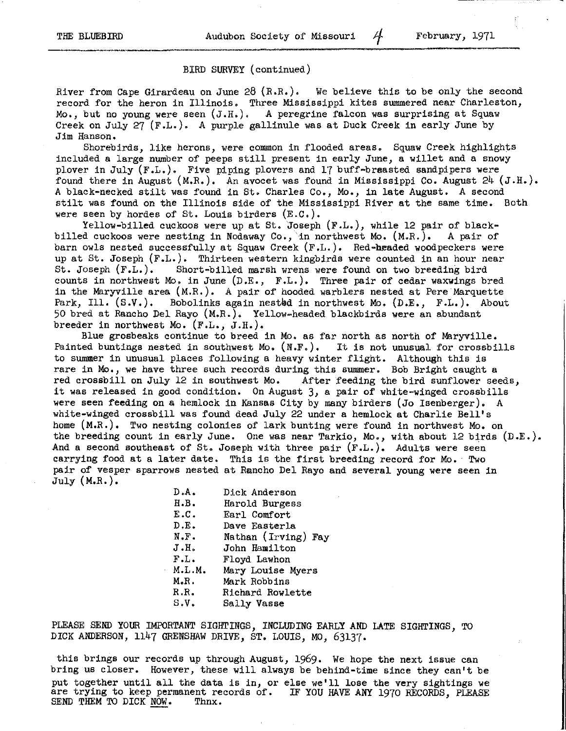### BIRD SURVEY (continued)

River from Cape Girardeau on June 28  $(R.R.)$ . We believe this to be only the second record for the heron in Illinois. Three Mississippi kites summered near Charleston, Mo., but no young were seen (J.H,). A peregrine falcon was surprising at Squaw Creek on July 27 (F.L.). A purple gallinule was at Duck Creek in early June by Jim Hanson.

Shorebirds, like herons, were common in flooded areas. Squaw Creek highlights included a large number of peeps still present in early June, a willet and a snowy plover in July (F.L.). Five piping plovers and 17 buff-braasted sandpipers were found there in August (M.R.). An avocet was found in Mississippi Co. August  $24$  (J.H.). A black-necked stilt was found in St. Charles Co., Mo., in late August. A second stilt was found on the Illinois side of the Mississippi River at the same time. Both were seen by hordes of St. Louis birders (E.c.).

Yellow-billed cuckoos were up at St. Joseph (F.L.), while 12 pair of blackbilled cuckoos were nesting in Nodaway Co., 'in northwest Mo. (M.R.). A pair of barn owls nested successfully at Squaw Creek (F.L.). Red-headed woodpeckers were up at St. Joseph (F.L.). Thirteen western kingbirds were counted in an hour near<br>St. Joseph (F.L.). Short-billed marsh wrens were found on two breeding bird Short-billed marsh wrens were found on two breeding bird counts in northwest Mo. in June  $(D.E., F.L.).$  Three pair of cedar waxwings bred in the Maryville area  $(M.R.)$ . A pair of hooded warblers nested at Pere Marquette Park, Ill.  $(S.V.)$ . Bobolinks again nested in northwest Mo.  $(D.E., F.L.).$  About 50 bred at Rancho Del Rayo (M.R.). Yellow-headed blackbirds were an abundant breeder in northwest Mo. (F.L., J.H.).

Blue grosbeaks continue to breed in Mo. as far north as north of Maryville. Painted buntings nested in southwest Mo.  $(N.F.)$ . It is not unusual for crossbills to summer in unusual places following a heavy winter flight. Although this is rare in Mo., we have three such records during this summer. Bob Bright caught a red crossbill on July 12 in southwest Mo. After feeding the bird sunflower seeds, it was released in good condition. On August 3, a pair of white-winged crossbills were seen feeding on a hemlock in Kansas City by many birders (Jo Isenberger). A white-winged crossbill was found dead July 22 under a hemlock at Charlie Bell's home (M.R.). Two nesting colonies of lark bunting were found in northwest Mo. on the breeding count in early June. One was near Tarkio, Mo., with about 12 birds (D.E.). And a second southeast of St. Joseph with three pair  $(F.L.)$ . Adults were seen carrying food at a later date. This is the first breeding record for Mo. Two pair of vesper sparrows nested at Rancho Del Rayo and several young were seen in July  $(M,R.)$ .

| D.A.            | Dick Anderson       |
|-----------------|---------------------|
| H.B.            | Harold Burgess      |
| E.C.            | Earl Comfort        |
| D.E.            | Dave Easterla       |
| N.F.            | Nathan (Irving) Fay |
| J.H.            | John Hamilton       |
| $\texttt{F.L.}$ | Floyd Lawhon        |
| M.L.M.          | Mary Louise Myers   |
| M.R.            | Mark Robbins        |
| R.R.            | Richard Rowlette    |
| s.v.            | Sally Vasse         |
|                 |                     |

PLEASE SEND YOUR IMPORTANT SIGHTINGS, INCLUDING EARLY AND LATE SIGHTINGS, TO DICK ANDERSON, 1147 GRENSHAW DRIVE, ST. LOUIS, MO, 63137·

this brings our records up through August, 1969. We hope the next issue can bring us closer, However, these will always be behind-time since they can't be put together until all the data is in, or else we'll lose the very sightings we are trying to keep permanent records of. IF YOU HAVE ANY 1970 RECORDS, PLEASE SEND THEM TO DICK NOW. Thnx. SEND THEM TO DICK NOW.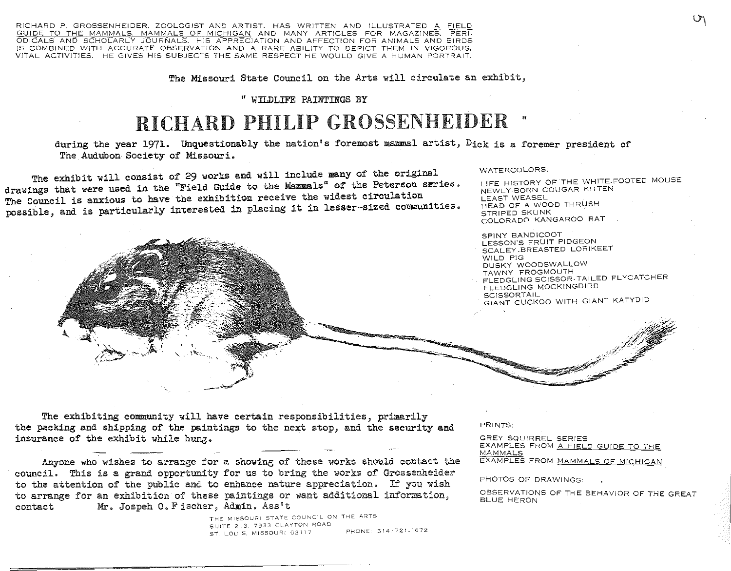RICHARD P. GROSSENHEIDER. ZOOLOGJST AND ARTIST. HAS WRITTEN AND ILLUSTRATED A FIELD GUIDE TO THE MAMMALS. MAMMALS OF MICHIGAN AND MANY ARTICLES FOR MAGAZINES. PERI-ODICALS AND SCHOLARLY JOURNALS. HIS APPRECIATION AND AFFECTION FOR ANIMALS AND BIRDS !S COMBINED WITH ACCURATE OBSERVATION AND A RARE ABILITY TO DEPICT THEM IN VIGOROUS, VITAL ACTIVITIES. HE GIVES HIS SUBJECTS THE SAME RESPECT HE WOULD GIVE A HUMAN PORTRAIT.

The Missouri State Council on the Arts will circulate an exhibit,

" WILDLIFE PAINTINGS BY

# RICHARD PHILIP GROSSENHEIDER "

during the year 1971. Unquestionably the nation's foremost mammal artist, Dick is a foremer president of The Audubon Society of Missouri.

The exhibit will consist of 29 works and will include many of the original drawings that were used in the "Field Guide to the Mammals" of the Peterson series.<br>The Council is anxious to have the exhibition receive the widest circulation possible, and is particularly interested in placing it in lesser-sized communities.



#### WATERCOLORS:

LJFE HISTORY OF 'THE \NHITE-FOOTED MOUSE NEWLY-BORN COUGAR KITTEN **LEAST WEASEL** HEAD OF A WOOD THRUSH STRIPED SKUNK C0LORAD0 KANGAROO RAT

SPINY BANDICOOT LESSON'S FRUIT PIDGEON SCALEY .BREASTED LORIKEET WILD PIG DUSKY WOODSWALLOW TAWNY FROGMOUTH FLEDGLING SCISSOR-TAILED FLYCATCHER FLEDGLING MOCKINGBIRD SCISSORTAIL GIANT CUCKOO WITH GIANT KATYDID

The exhibiting community will have certain responsibilities, primarily the packing and shipping of the paintings to the next stop, and the security and insurance of the exhibit while hung.

Anyone who wishes to arrange for a showing of these works should contact the council. This is a grand opportunity for us to bring the works of Grossenheider to the attention of the public and to enhance nature appreciation. If you wish to arrange for an exhibition of these paintings or want additional information, contact Mr. Jospeh 0. Fischer, Admin. Ass't

> THE MISSOURI STATE COUNCIL ON THE ARTS SIJ:TE 213 7933 CLAYTON ROAD SST. LOUIS, MISSOURI 63117 PHONE: 314/721-1672

PRINTS:

GREY SQUIRREL SERIES EXAMPLES FROM A FIELD GUIDE TO THE MAMMALS EXAMPLES FROM MAMMALS OF MICHIGAN

PHOTOS OF DRAWINGS:

OBSERVATIONS OF THE BEHAVIOR OF THE GREAT BLUE HERON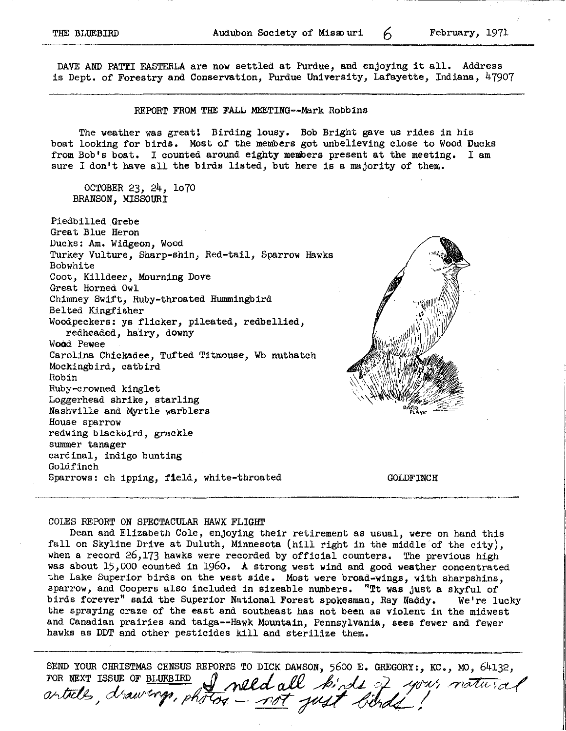THE BLUEBIRD **Audubon Society of Missouri** 6 **February**, 1971

DAVE AND PATTI EASTERLA are now settled at Purdue, and enjoying it all. Address is Dept. of Forestry and Conservation, Purdue University, Lafayette, Indiana, 47907

### REPORT FROM THE FALL MEETING--Mark Robbins

The weather was great! Birding lousy. Bob Bright gave us rides in his boat looking for birds. Most of the members got unbelieving close to Wood Ducks from Bob's boat. I counted around eighty members present at the meeting. I am sure I don't have all the birds listed, but here is a majority of them.

OCTOBER 23, 24, BRANSON, MISSOURI

Piedbilled Grebe Great Blue Heron Ducks: Am. Widgeon, Wood Turkey Vulture, Sharp-shin, Red-tail, Sparrow Hawks Bobwhite Coot, Killdeer, Mourning Dove Great Horned Owl Chimney Swift, Ruby-throated Hummingbird Belted Kingfisher Woodpeckers: ys flicker, pileated, redbellied, redheaded, hairy, downy Wood Pewee Carolina Chickadee, Tufted Titmouse, Wb nuthatch Mockingbird, catbird Robin Ruby-crowned kinglet Loggerhead shrike, starling Nashville and Myrtle warblers House sparrow redwing blackbird, grackle summer tanager cardinal, indigo bunting Goldfinch Sparrows: ch ipping, field, white-throated

**GOLDFINCH** 

### COLES REPORT ON SPECTACULAR HAWK FLIGHT

Dean and Elizabeth Cole, enjoying their retirement as usual, were on hand this fall on Skyline Drive at Duluth, Minnesota {hill right in the middle of the city), when a record 26,173 hawks were recorded by official counters. The previous high was about 15,000 counted in 1960. A strong west wind and good weather concentrated the Lake Superior birds on the west side, Most were broad-wings, with sharpshins, sparrow, and Coopers also included in sizeable numbers. "Tt was just a skyful of birds forever" said the Superior National Forest spokesman, Ray Naddy. We're lucky the spraying craze of the east and southeast has not been as violent in the midwest and Canadian prairies and taiga--Hawk Mountain, Pennsylvania, sees fewer and fewer hawks as DDT and other pesticides kill and sterilize them.

SEND YOUR CHRISTMAS CENSUS REPORTS TO DICK DAWSON, 5600 E. GREGORY:, KC., MO, 64132, FOR NEXT ISSUE OF BLUEBIRD **,** *ANDED* all birds reports to DICK DAWSON, 5600 E. GREGORY:, KC., MO, 64<br>POR NEXT ISSUE OF <u>BLUEBIRD</u> , *need all birds ? your natured*, *draw-crop, photos <u>\_not</u> your foinds.*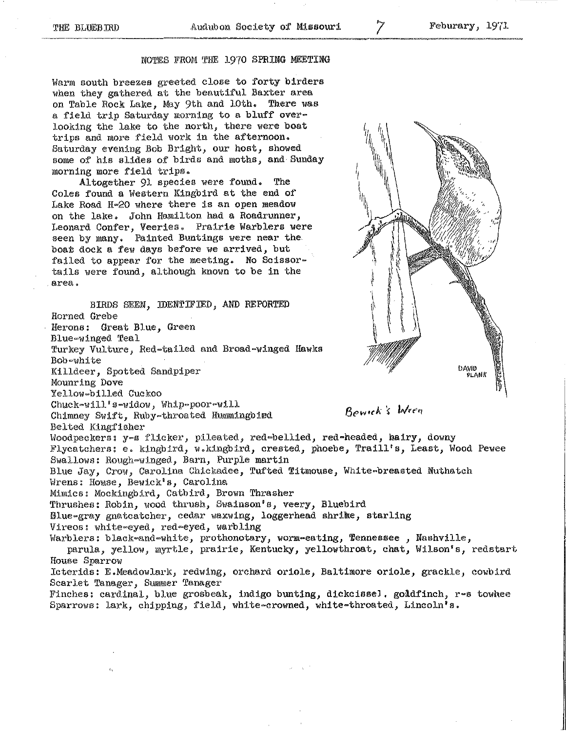### NOTES FROb! THE 1970 SPRING MEETING

Warm south breezes greeted close to forty birders when they gathered at the beautiful Baxter area on Table Rock Lake, May 9th and lOth. There was a field trip Saturday morning to a bluff overlooking the lake to the north, there were boat trips and more field work in the afternoon. Saturday evening Bob Bright, our host, showed some of his slides of birds and moths, and Sunday morning more field trips.

Altogether 91 species were found. The Coles found a Western Kingbird at the end of Lake Road H-20 where there is an open meadow on the lake. John Hamilton had a Roadrunner, Leonard Confer, Veeries, Prairie Warblers were seen by many, Painted Buntings were near the boat dock a few days before we arrived, but failed to appear for the meeting. No Scissortails were found, although known to be in the **area.** 

BIRDS SEEN, IDENTIFIED, AND REPORTED Horned Grebe Herons: Great Blue, Green Blue-winged Teal Turkey Vulture, Red-tailed and Broad-winged Hawks Bob-white **DAVID** Killdeer, Spotted Sandpiper **3ODQN** Mounring Dove Yellow-billed Cuckoo Chuck-will's-widow, Whip-poor-will Rowick's Wren Chimney Swift, Ruby-throated Hummingbied Belted Kingfisher Woodpeckers: y-s flicker, pileated, red-bellied, red-headed, hairy, downy Flycatchers: e. kingbird, w.kingbird, crested, phoebe, Traill's, Least, Wood Pewee Swallows: Rough-winged, Barn, Purple martin Blue Jay, Crow, Carolina Chickadee, Tufted Titmouse, White-breasted Nuthatch Wrens: House, Bewick's, Carolina Mimics: Mockingbird, Catbird, Brown Thrasher Thrushes: Robin, wood thrush, Swainson's, veery, Bluebird Blue-gray gnatcatcher, cedar waxwing, loggerhead shrike, starling Vireos: white-eyed, red-eyed, warbling Warblers: black-and-white, prothonotary, worm-eating, 7ennessee , Nashville, parula, yellow, myrtle, prairie, Kentucky, yellowthroat, chat, Wilson's, redstart House Sparrow Icterids: E.Meadowlark, redwing, orchard oriole, Baltimore oriole, grackle, cowbird Scarlet Tanager, Summer Tanager Finches: cardinal, blue grosbeak, indigo bunting, dickcissel. goldfinch,  $r-s$  towhee Sparrows: lark, chipping, field, white-crowned, white-throated, Lincoln's.





7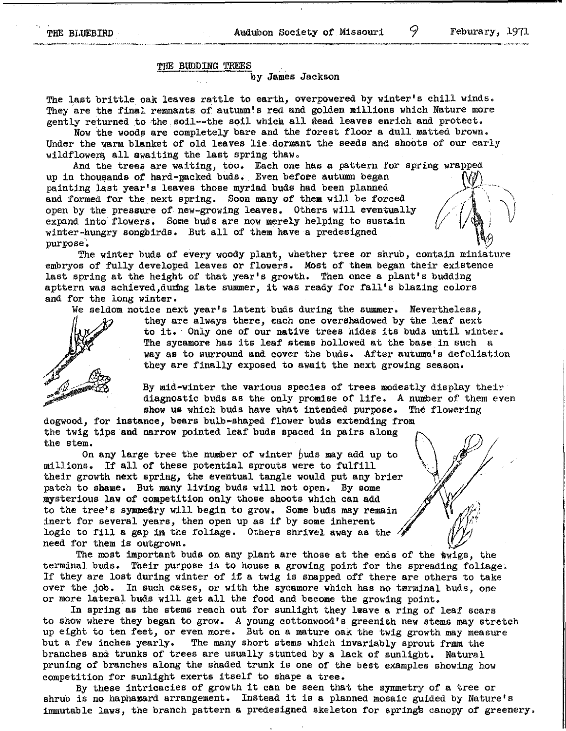### TilE BUDDING TREES

by James Jackson

The last brittle oak leaves rattle to earth, overpowered by winter's chill winds. They are the final remnants of autumn's red and golden millions which Nature more gently returned to the soil--the soil which all dead leaves enrich and protect.

Now the woods are completely bare and the forest floor a dull matted brown. Under the warm blanket of old leaves lie dormant the seeds and shoots of our early wildflower, all awaiting the last spring thaw.

And the trees are waiting, too. Each one has a pattern for spring up in thousands of hard-macked buds. Even before autumn began painting last year's leaves those myriad buds had been planned and formed for the next spring. Soon many of them will be forced open by the pressure of new-growing leaves. Others will eventually expand into flowers. Some buds are now merely helping to sustain winter-hungry songbirds. But all of them have a predesigned purpose.

The winter buds of every woody plant, whether tree or shrub, contain miniature embryos of fully developed leaves or flowers. Most of them began their existence last spring at the height of that year's growth. Then once a plant's budding apttern was achieved, during late summer, it was ready for fall's blazing colors and for the long winter.

We seldom notice next year's latent buds during the summer. Nevertheless,

they are always there, each one overshadowed by the leaf next to it. Only one of our native trees hides its buds until winter. The sycamore has its leaf stems hollowed at the base in such a way as to surround and cover the buds. After autumn's defoliation they are finally exposed to await the next growing season.

By mid-winter the various species of trees modestly display their diagnostic buds as the only promise of life. A number of them even show us which buds have what intended purpose. The flowering

dogwood, for instance, bears bulb-shaped flower buds extending from the twig tips and narrow pointed leaf buds spaced in pairs along the stem.

On any large tree the number of winter  $\beta$ uds may add up to millions. If all of these potential sprouts were to fulfill their growth next spring, the eventual tangle would put any brier patch to shame. But many living buds will not open, By some mysterious law of competition only those shoots which can add to the tree's symmedry will begin to grow. Some buds may remain inert for several years, then open up as if by some inherent logic to fill a gap in the foliage. Others shrivel away as the  $\sqrt{s}$ need for them is outgrown.

The most important buds on any plant are those at the ends of the twigs, the terminal buds. Their purpose is to house a growing point for the spreading foliage;<br>If they are lost during winter of if a twig is snapped off there are others to take<br>even the debt In our point of the successors which the If they are lost during winter of if a twig is snapped off there are others to take over the job. In such cases, or with the sycamore which has no terminal buds, one or more lateral buds will get all the food and become the growing point,

In spring as the stems reach out for sunlight they leave a ring of leaf scars to show where they began to grow. A young cottonwood's greenish new stems may stretch up eight to ten feet, or even more. But on a mature oak the twig growth may measure but a few inches yearly. The many short stems which invariably sprout frmm the branches and trunks of trees are usually stunted by a lack of sunlight. Natural pruning of branches along the shaded trunk is one of the best examples showing how competition for sunlight exerts itself to shape a tree.

By these intricacies of growth it can be seen that the symmetry of a tree or shrub is no haphazard arrangement. Instead it is a planned mosaic guided by Nature's immutable laws, the branch pattern a predesigned skeleton for springs canopy of greenery.